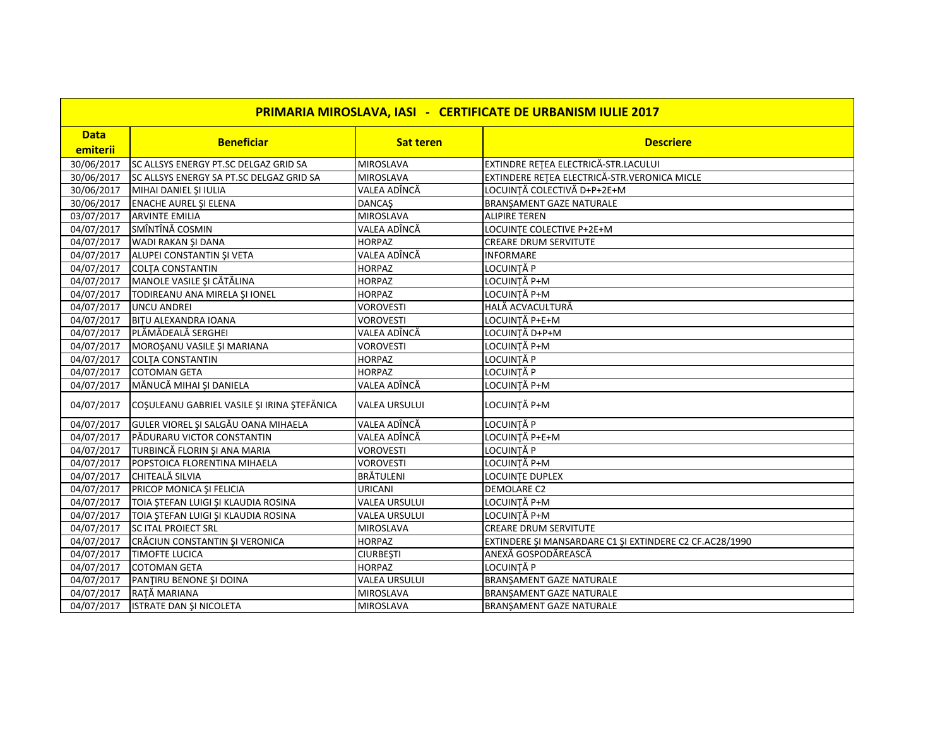| <b>PRIMARIA MIROSLAVA, IASI - CERTIFICATE DE URBANISM IULIE 2017</b> |                                             |                      |                                                         |
|----------------------------------------------------------------------|---------------------------------------------|----------------------|---------------------------------------------------------|
| <b>Data</b>                                                          |                                             |                      |                                                         |
| emiterii                                                             | <b>Beneficiar</b>                           | <b>Sat teren</b>     | <b>Descriere</b>                                        |
| 30/06/2017                                                           | SC ALLSYS ENERGY PT.SC DELGAZ GRID SA       | <b>MIROSLAVA</b>     | EXTINDRE RETEA ELECTRICĂ-STR.LACULUI                    |
| 30/06/2017                                                           | SC ALLSYS ENERGY SA PT.SC DELGAZ GRID SA    | <b>MIROSLAVA</b>     | EXTINDERE REȚEA ELECTRICĂ-STR.VERONICA MICLE            |
| 30/06/2017                                                           | MIHAI DANIEL ȘI IULIA                       | VALEA ADÎNCĂ         | LOCUINȚĂ COLECTIVĂ D+P+2E+M                             |
| 30/06/2017                                                           | <b>ENACHE AUREL ȘI ELENA</b>                | <b>DANCAŞ</b>        | BRANŞAMENT GAZE NATURALE                                |
| 03/07/2017                                                           | <b>ARVINTE EMILIA</b>                       | <b>MIROSLAVA</b>     | <b>ALIPIRE TEREN</b>                                    |
| 04/07/2017                                                           | SMÎNTÎNĂ COSMIN                             | VALEA ADÎNCĂ         | LOCUINTE COLECTIVE P+2E+M                               |
| 04/07/2017                                                           | WADI RAKAN ŞI DANA                          | <b>HORPAZ</b>        | <b>CREARE DRUM SERVITUTE</b>                            |
| 04/07/2017                                                           | ALUPEI CONSTANTIN ȘI VETA                   | VALEA ADÎNCĂ         | <b>INFORMARE</b>                                        |
| 04/07/2017                                                           | <b>COLTA CONSTANTIN</b>                     | <b>HORPAZ</b>        | LOCUINȚĂ P                                              |
| 04/07/2017                                                           | MANOLE VASILE ȘI CĂTĂLINA                   | <b>HORPAZ</b>        | LOCUINȚĂ P+M                                            |
| 04/07/2017                                                           | TODIREANU ANA MIRELA ȘI IONEL               | <b>HORPAZ</b>        | LOCUINȚĂ P+M                                            |
| 04/07/2017                                                           | <b>UNCU ANDREI</b>                          | <b>VOROVESTI</b>     | HALĂ ACVACULTURĂ                                        |
| 04/07/2017                                                           | <b>BITU ALEXANDRA IOANA</b>                 | <b>VOROVESTI</b>     | LOCUINȚĂ P+E+M                                          |
|                                                                      | 04/07/2017   PLĂMĂDEALĂ SERGHEI             | VALEA ADÎNCĂ         | LOCUINȚĂ D+P+M                                          |
| 04/07/2017                                                           | MOROŞANU VASILE ŞI MARIANA                  | <b>VOROVESTI</b>     | LOCUINȚĂ P+M                                            |
| 04/07/2017                                                           | <b>COLTA CONSTANTIN</b>                     | <b>HORPAZ</b>        | <b>LOCUINTĂ P</b>                                       |
| 04/07/2017                                                           | <b>COTOMAN GETA</b>                         | <b>HORPAZ</b>        | LOCUINȚĂ P                                              |
| 04/07/2017                                                           | MĂNUCĂ MIHAI ȘI DANIELA                     | VALEA ADÎNCĂ         | LOCUINȚĂ P+M                                            |
| 04/07/2017                                                           | COŞULEANU GABRIEL VASILE ŞI IRINA ŞTEFĂNICA | <b>VALEA URSULUI</b> | LOCUINȚĂ P+M                                            |
| 04/07/2017                                                           | GULER VIOREL ȘI SALGĂU OANA MIHAELA         | VALEA ADÎNCĂ         | LOCUINȚĂ P                                              |
| 04/07/2017                                                           | PĂDURARU VICTOR CONSTANTIN                  | VALEA ADÎNCĂ         | LOCUINȚĂ P+E+M                                          |
| 04/07/2017                                                           | TURBINCĂ FLORIN ȘI ANA MARIA                | <b>VOROVESTI</b>     | LOCUINȚĂ P                                              |
| 04/07/2017                                                           | POPSTOICA FLORENTINA MIHAELA                | <b>VOROVESTI</b>     | LOCUINȚĂ P+M                                            |
| 04/07/2017                                                           | CHITEALĂ SILVIA                             | <b>BRÄTULENI</b>     | LOCUINTE DUPLEX                                         |
| $\frac{04}{07}/2017$                                                 | PRICOP MONICA ȘI FELICIA                    | <b>URICANI</b>       | <b>DEMOLARE C2</b>                                      |
| 04/07/2017                                                           | TOIA ȘTEFAN LUIGI ȘI KLAUDIA ROSINA         | <b>VALEA URSULUI</b> | LOCUINȚĂ P+M                                            |
| 04/07/2017                                                           | TOIA ȘTEFAN LUIGI ȘI KLAUDIA ROSINA         | <b>VALEA URSULUI</b> | LOCUINȚĂ P+M                                            |
| 04/07/2017                                                           | SC ITAL PROIECT SRL                         | <b>MIROSLAVA</b>     | <b>CREARE DRUM SERVITUTE</b>                            |
| 04/07/2017                                                           | CRĂCIUN CONSTANTIN ȘI VERONICA              | <b>HORPAZ</b>        | EXTINDERE ȘI MANSARDARE C1 ȘI EXTINDERE C2 CF.AC28/1990 |
| 04/07/2017                                                           | <b>TIMOFTE LUCICA</b>                       | <b>CIURBESTI</b>     | ANEXĂ GOSPODĂREASCĂ                                     |
| 04/07/2017                                                           | <b>COTOMAN GETA</b>                         | <b>HORPAZ</b>        | LOCUINTĂ P                                              |
| 04/07/2017                                                           | PANTIRU BENONE ȘI DOINA                     | <b>VALEA URSULUI</b> | BRANŞAMENT GAZE NATURALE                                |
| 04/07/2017                                                           | RAȚĂ MARIANA                                | <b>MIROSLAVA</b>     | BRANŞAMENT GAZE NATURALE                                |
| 04/07/2017                                                           | ISTRATE DAN ŞI NICOLETA                     | <b>MIROSLAVA</b>     | BRANSAMENT GAZE NATURALE                                |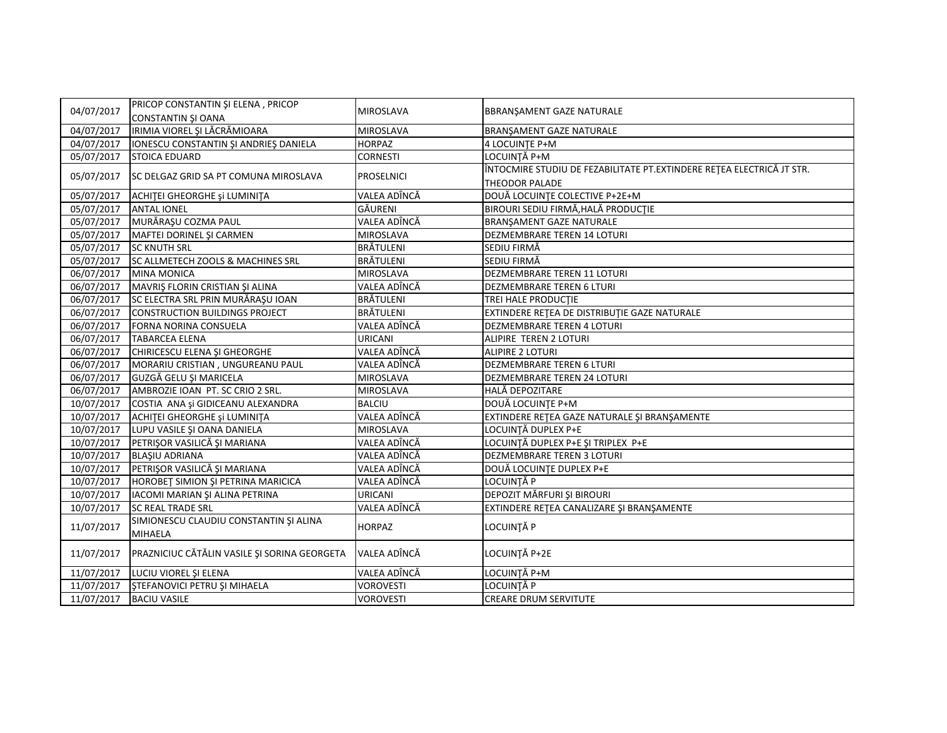| 04/07/2017 | PRICOP CONSTANTIN ȘI ELENA, PRICOP<br><b>CONSTANTIN ȘI OANA</b> | MIROSLAVA         | BBRANSAMENT GAZE NATURALE                                             |
|------------|-----------------------------------------------------------------|-------------------|-----------------------------------------------------------------------|
| 04/07/2017 | IRIMIA VIOREL ȘI LĂCRĂMIOARA                                    | <b>MIROSLAVA</b>  | BRANŞAMENT GAZE NATURALE                                              |
| 04/07/2017 | IONESCU CONSTANTIN ȘI ANDRIEȘ DANIELA                           | <b>HORPAZ</b>     | 4 LOCUINTE P+M                                                        |
| 05/07/2017 | <b>STOICA EDUARD</b>                                            | <b>CORNESTI</b>   | LOCUINȚĂ P+M                                                          |
|            |                                                                 |                   | ÎNTOCMIRE STUDIU DE FEZABILITATE PT.EXTINDERE REȚEA ELECTRICĂ JT STR. |
| 05/07/2017 | <b>SC DELGAZ GRID SA PT COMUNA MIROSLAVA</b>                    | <b>PROSELNICI</b> | <b>THEODOR PALADE</b>                                                 |
| 05/07/2017 | ACHITEI GHEORGHE și LUMINITA                                    | VALEA ADÎNCĂ      | DOUĂ LOCUINȚE COLECTIVE P+2E+M                                        |
| 05/07/2017 | <b>ANTAL IONEL</b>                                              | GĂURENI           | BIROURI SEDIU FIRMĂ, HALĂ PRODUCȚIE                                   |
| 05/07/2017 | MURĂRAȘU COZMA PAUL                                             | VALEA ADÎNCĂ      | BRANŞAMENT GAZE NATURALE                                              |
| 05/07/2017 | MAFTEI DORINEL ȘI CARMEN                                        | <b>MIROSLAVA</b>  | DEZMEMBRARE TEREN 14 LOTURI                                           |
| 05/07/2017 | <b>SC KNUTH SRL</b>                                             | <b>BRÄTULENI</b>  | SEDIU FIRMĂ                                                           |
| 05/07/2017 | SC ALLMETECH ZOOLS & MACHINES SRL                               | <b>BRÄTULENI</b>  | SEDIU FIRMĂ                                                           |
| 06/07/2017 | <b>MINA MONICA</b>                                              | <b>MIROSLAVA</b>  | <b>DEZMEMBRARE TEREN 11 LOTURI</b>                                    |
| 06/07/2017 | MAVRIȘ FLORIN CRISTIAN ȘI ALINA                                 | VALEA ADÎNCĂ      | <b>DEZMEMBRARE TEREN 6 LTURI</b>                                      |
| 06/07/2017 | SC ELECTRA SRL PRIN MURĂRAȘU IOAN                               | <b>BRÄTULENI</b>  | TREI HALE PRODUCTIE                                                   |
| 06/07/2017 | CONSTRUCTION BUILDINGS PROJECT                                  | <b>BRÄTULENI</b>  | EXTINDERE RETEA DE DISTRIBUTIE GAZE NATURALE                          |
| 06/07/2017 | <b>FORNA NORINA CONSUELA</b>                                    | VALEA ADÎNCĂ      | DEZMEMBRARE TEREN 4 LOTURI                                            |
| 06/07/2017 | <b>TABARCEA ELENA</b>                                           | URICANI           | ALIPIRE TEREN 2 LOTURI                                                |
| 06/07/2017 | CHIRICESCU ELENA ȘI GHEORGHE                                    | VALEA ADÎNCĂ      | <b>ALIPIRE 2 LOTURI</b>                                               |
| 06/07/2017 | MORARIU CRISTIAN, UNGUREANU PAUL                                | VALEA ADÎNCĂ      | <b>DEZMEMBRARE TEREN 6 LTURI</b>                                      |
| 06/07/2017 | GUZGĂ GELU ȘI MARICELA                                          | <b>MIROSLAVA</b>  | DEZMEMBRARE TEREN 24 LOTURI                                           |
| 06/07/2017 | AMBROZIE IOAN PT. SC CRIO 2 SRL.                                | <b>MIROSLAVA</b>  | HALĂ DEPOZITARE                                                       |
| 10/07/2017 | COSTIA ANA și GIDICEANU ALEXANDRA                               | <b>BALCIU</b>     | DOUĂ LOCUINȚE P+M                                                     |
|            | 10/07/2017 ACHITEI GHEORGHE și LUMINITA                         | VALEA ADÎNCĂ      | EXTINDERE RETEA GAZE NATURALE ȘI BRANȘAMENTE                          |
|            | 10/07/2017 LUPU VASILE ȘI OANA DANIELA                          | <b>MIROSLAVA</b>  | LOCUINȚĂ DUPLEX P+E                                                   |
|            | 10/07/2017 PETRIŞOR VASILICĂ ȘI MARIANA                         | VALEA ADÎNCĂ      | LOCUINȚĂ DUPLEX P+E ȘI TRIPLEX P+E                                    |
|            | 10/07/2017 BLAŞIU ADRIANA                                       | VALEA ADÎNCĂ      | DEZMEMBRARE TEREN 3 LOTURI                                            |
|            | 10/07/2017 PETRIŞOR VASILICĂ ȘI MARIANA                         | VALEA ADÎNCĂ      | DOUĂ LOCUINTE DUPLEX P+E                                              |
| 10/07/2017 | HOROBET SIMION ȘI PETRINA MARICICA                              | VALEA ADÎNCĂ      | <b>LOCUINTĂ P</b>                                                     |
| 10/07/2017 | IACOMI MARIAN ȘI ALINA PETRINA                                  | URICANI           | DEPOZIT MĂRFURI ȘI BIROURI                                            |
| 10/07/2017 | <b>SC REAL TRADE SRL</b>                                        | VALEA ADÎNCĂ      | EXTINDERE RETEA CANALIZARE ȘI BRANȘAMENTE                             |
| 11/07/2017 | SIMIONESCU CLAUDIU CONSTANTIN ȘI ALINA                          | <b>HORPAZ</b>     | LOCUINȚĂ P                                                            |
|            | <b>MIHAELA</b>                                                  |                   |                                                                       |
| 11/07/2017 | PRAZNICIUC CĂTĂLIN VASILE ȘI SORINA GEORGETA                    | VALEA ADÎNCĂ      | LOCUINȚĂ P+2E                                                         |
| 11/07/2017 | LUCIU VIOREL ȘI ELENA                                           | VALEA ADÎNCĂ      | LOCUINȚĂ P+M                                                          |
| 11/07/2017 | <b>STEFANOVICI PETRU ȘI MIHAELA</b>                             | <b>VOROVESTI</b>  | LOCUINȚĂ P                                                            |
| 11/07/2017 | <b>BACIU VASILE</b>                                             | <b>VOROVESTI</b>  | CREARE DRUM SERVITUTE                                                 |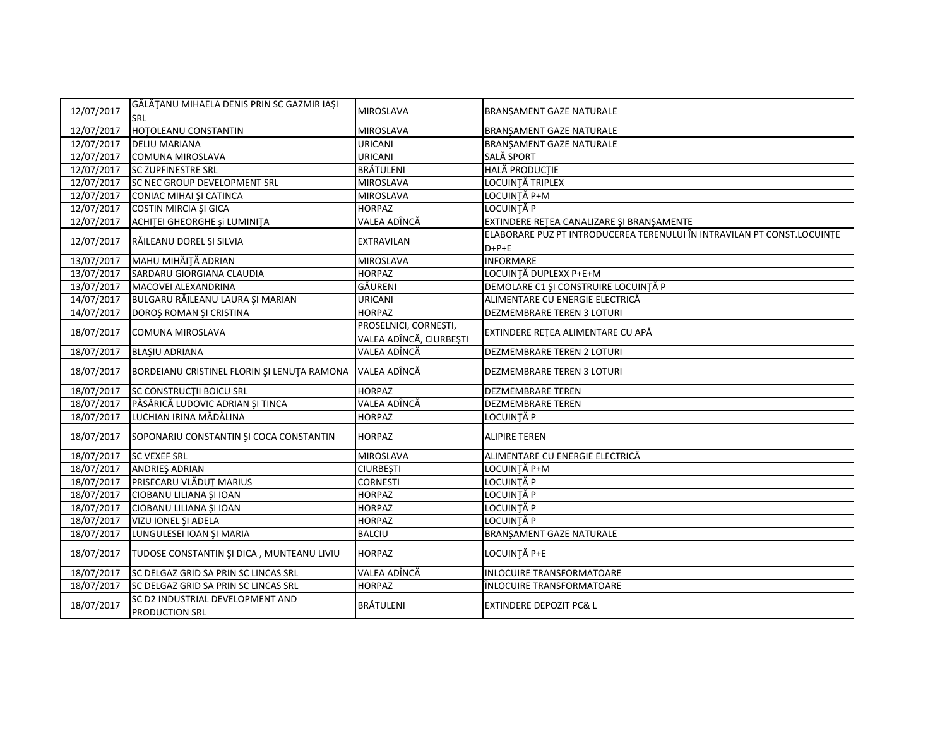| 12/07/2017              | GĂLĂȚANU MIHAELA DENIS PRIN SC GAZMIR IAȘI<br>SRL  | <b>MIROSLAVA</b>                                 | <b>BRANSAMENT GAZE NATURALE</b>                                                    |
|-------------------------|----------------------------------------------------|--------------------------------------------------|------------------------------------------------------------------------------------|
| 12/07/2017              | <b>HOTOLEANU CONSTANTIN</b>                        | <b>MIROSLAVA</b>                                 | <b>BRANSAMENT GAZE NATURALE</b>                                                    |
| $\overline{12}/07/2017$ | <b>DELIU MARIANA</b>                               | <b>URICANI</b>                                   | BRANŞAMENT GAZE NATURALE                                                           |
| 12/07/2017              | COMUNA MIROSLAVA                                   | <b>URICANI</b>                                   | <b>SALĂ SPORT</b>                                                                  |
| 12/07/2017              | <b>SC ZUPFINESTRE SRL</b>                          | <b>BRÄTULENI</b>                                 | <b>HALĂ PRODUCȚIE</b>                                                              |
| 12/07/2017              | <b>SC NEC GROUP DEVELOPMENT SRL</b>                | <b>MIROSLAVA</b>                                 | LOCUINȚĂ TRIPLEX                                                                   |
| 12/07/2017              | CONIAC MIHAI ȘI CATINCA                            | <b>MIROSLAVA</b>                                 | LOCUINȚĂ P+M                                                                       |
| 12/07/2017              | COSTIN MIRCIA ȘI GICA                              | <b>HORPAZ</b>                                    | LOCUINȚĂ P                                                                         |
| 12/07/2017              | ACHITEI GHEORGHE și LUMINITA                       | VALEA ADÎNCĂ                                     | EXTINDERE RETEA CANALIZARE ȘI BRANȘAMENTE                                          |
| 12/07/2017              | RĂILEANU DOREL ȘI SILVIA                           | <b>EXTRAVILAN</b>                                | ELABORARE PUZ PT INTRODUCEREA TERENULUI ÎN INTRAVILAN PT CONST.LOCUINTE<br>$D+P+E$ |
| 13/07/2017              | MAHU MIHĂIȚĂ ADRIAN                                | <b>MIROSLAVA</b>                                 | <b>INFORMARE</b>                                                                   |
| 13/07/2017              | SARDARU GIORGIANA CLAUDIA                          | <b>HORPAZ</b>                                    | LOCUINȚĂ DUPLEXX P+E+M                                                             |
| 13/07/2017              | MACOVEI ALEXANDRINA                                | GĂURENI                                          | DEMOLARE C1 ȘI CONSTRUIRE LOCUINȚĂ P                                               |
| 14/07/2017              | BULGARU RĂILEANU LAURA ȘI MARIAN                   | <b>URICANI</b>                                   | ALIMENTARE CU ENERGIE ELECTRICĂ                                                    |
| 14/07/2017              | DOROȘ ROMAN ȘI CRISTINA                            | <b>HORPAZ</b>                                    | <b>DEZMEMBRARE TEREN 3 LOTURI</b>                                                  |
| 18/07/2017              | <b>COMUNA MIROSLAVA</b>                            | PROSELNICI, CORNEȘTI,<br>VALEA ADÎNCĂ, CIURBEȘTI | EXTINDERE RETEA ALIMENTARE CU APĂ                                                  |
| 18/07/2017              | <b>BLAŞIU ADRIANA</b>                              | VALEA ADÎNCĂ                                     | DEZMEMBRARE TEREN 2 LOTURI                                                         |
| 18/07/2017              | BORDEIANU CRISTINEL FLORIN ȘI LENUȚA RAMONA        | VALEA ADÎNCĂ                                     | DEZMEMBRARE TEREN 3 LOTURI                                                         |
| 18/07/2017              | <b>SC CONSTRUCTII BOICU SRL</b>                    | <b>HORPAZ</b>                                    | <b>DEZMEMBRARE TEREN</b>                                                           |
| 18/07/2017              | PĂSĂRICĂ LUDOVIC ADRIAN ȘI TINCA                   | VALEA ADÎNCĂ                                     | <b>DEZMEMBRARE TEREN</b>                                                           |
| 18/07/2017              | LUCHIAN IRINA MĂDĂLINA                             | <b>HORPAZ</b>                                    | LOCUINȚĂ P                                                                         |
| 18/07/2017              | SOPONARIU CONSTANTIN ȘI COCA CONSTANTIN            | <b>HORPAZ</b>                                    | <b>ALIPIRE TEREN</b>                                                               |
| 18/07/2017              | <b>SC VEXEF SRL</b>                                | <b>MIROSLAVA</b>                                 | ALIMENTARE CU ENERGIE ELECTRICĂ                                                    |
| 18/07/2017              | ANDRIEŞ ADRIAN                                     | <b>CIURBESTI</b>                                 | LOCUINȚĂ P+M                                                                       |
| 18/07/2017              | PRISECARU VLĂDUȚ MARIUS                            | <b>CORNESTI</b>                                  | LOCUINȚĂ P                                                                         |
| 18/07/2017              | <b>CIOBANU LILIANA ȘI IOAN</b>                     | <b>HORPAZ</b>                                    | LOCUINȚĂ P                                                                         |
| 18/07/2017              | CIOBANU LILIANA ȘI IOAN                            | <b>HORPAZ</b>                                    | LOCUINȚĂ P                                                                         |
| 18/07/2017              | VIZU IONEL ȘI ADELA                                | <b>HORPAZ</b>                                    | LOCUINȚĂ P                                                                         |
| 18/07/2017              | LUNGULESEI IOAN ȘI MARIA                           | <b>BALCIU</b>                                    | BRANŞAMENT GAZE NATURALE                                                           |
| 18/07/2017              | TUDOSE CONSTANTIN ȘI DICA, MUNTEANU LIVIU          | <b>HORPAZ</b>                                    | LOCUINȚĂ P+E                                                                       |
| 18/07/2017              | SC DELGAZ GRID SA PRIN SC LINCAS SRL               | VALEA ADÎNCĂ                                     | <b>INLOCUIRE TRANSFORMATOARE</b>                                                   |
| 18/07/2017              | SC DELGAZ GRID SA PRIN SC LINCAS SRL               | <b>HORPAZ</b>                                    | ÎNLOCUIRE TRANSFORMATOARE                                                          |
| 18/07/2017              | SC D2 INDUSTRIAL DEVELOPMENT AND<br>PRODUCTION SRL | <b>BRÄTULENI</b>                                 | <b>EXTINDERE DEPOZIT PC&amp; L</b>                                                 |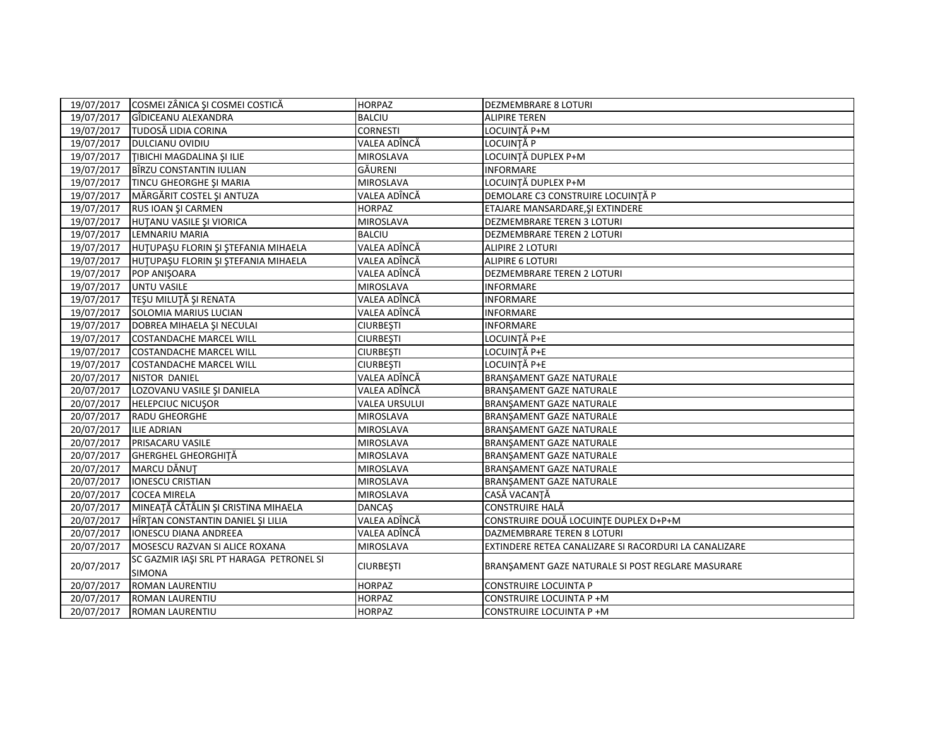|            | 19/07/2017 COSMEI ZÂNICA ȘI COSMEI COSTICĂ                | <b>HORPAZ</b>        | <b>DEZMEMBRARE 8 LOTURI</b>                           |
|------------|-----------------------------------------------------------|----------------------|-------------------------------------------------------|
| 19/07/2017 | GÎDICEANU ALEXANDRA                                       | <b>BALCIU</b>        | <b>ALIPIRE TEREN</b>                                  |
| 19/07/2017 | <b>TUDOSĂ LIDIA CORINA</b>                                | <b>CORNESTI</b>      | LOCUINTĂ P+M                                          |
| 19/07/2017 | <b>DULCIANU OVIDIU</b>                                    | VALEA ADÎNCĂ         | LOCUINȚĂ P                                            |
| 19/07/2017 | TIBICHI MAGDALINA ȘI ILIE                                 | <b>MIROSLAVA</b>     | LOCUINȚĂ DUPLEX P+M                                   |
| 19/07/2017 | BÎRZU CONSTANTIN IULIAN                                   | GĂURENI              | <b>INFORMARE</b>                                      |
| 19/07/2017 | TINCU GHEORGHE ȘI MARIA                                   | <b>MIROSLAVA</b>     | LOCUINȚĂ DUPLEX P+M                                   |
| 19/07/2017 | MĂRGĂRIT COSTEL ȘI ANTUZA                                 | VALEA ADÎNCĂ         | DEMOLARE C3 CONSTRUIRE LOCUINȚĂ P                     |
| 19/07/2017 | RUS IOAN ȘI CARMEN                                        | <b>HORPAZ</b>        | ETAJARE MANSARDARE, ŞI EXTINDERE                      |
| 19/07/2017 | HUTANU VASILE ȘI VIORICA                                  | <b>MIROSLAVA</b>     | DEZMEMBRARE TEREN 3 LOTURI                            |
| 19/07/2017 | LEMNARIU MARIA                                            | <b>BALCIU</b>        | <b>DEZMEMBRARE TEREN 2 LOTURI</b>                     |
| 19/07/2017 | HUTUPAŞU FLORIN ŞI ŞTEFANIA MIHAELA                       | VALEA ADÎNCĂ         | ALIPIRE 2 LOTURI                                      |
| 19/07/2017 | HUTUPAŞU FLORIN ŞI ŞTEFANIA MIHAELA                       | VALEA ADÎNCĂ         | ALIPIRE 6 LOTURI                                      |
| 19/07/2017 | POP ANIŞOARA                                              | VALEA ADÎNCĂ         | DEZMEMBRARE TEREN 2 LOTURI                            |
| 19/07/2017 | <b>UNTU VASILE</b>                                        | <b>MIROSLAVA</b>     | <b>INFORMARE</b>                                      |
| 19/07/2017 | TEŞU MILUTĂ ȘI RENATA                                     | VALEA ADÎNCĂ         | <b>INFORMARE</b>                                      |
| 19/07/2017 | SOLOMIA MARIUS LUCIAN                                     | VALEA ADÎNCĂ         | <b>INFORMARE</b>                                      |
| 19/07/2017 | <b>DOBREA MIHAELA ȘI NECULAI</b>                          | <b>CIURBEȘTI</b>     | <b>INFORMARE</b>                                      |
| 19/07/2017 | <b>COSTANDACHE MARCEL WILL</b>                            | <b>CIURBEȘTI</b>     | LOCUINTĂ P+E                                          |
| 19/07/2017 | <b>COSTANDACHE MARCEL WILL</b>                            | <b>CIURBESTI</b>     | LOCUINTĂ P+E                                          |
| 19/07/2017 | <b>COSTANDACHE MARCEL WILL</b>                            | <b>CIURBESTI</b>     | LOCUINTĂ P+E                                          |
| 20/07/2017 | <b>NISTOR DANIEL</b>                                      | VALEA ADÎNCĂ         | BRANŞAMENT GAZE NATURALE                              |
| 20/07/2017 | LOZOVANU VASILE ȘI DANIELA                                | VALEA ADÎNCĂ         | BRANSAMENT GAZE NATURALE                              |
| 20/07/2017 | <b>HELEPCIUC NICUSOR</b>                                  | <b>VALEA URSULUI</b> | BRANSAMENT GAZE NATURALE                              |
| 20/07/2017 | <b>RADU GHEORGHE</b>                                      | <b>MIROSLAVA</b>     | BRANSAMENT GAZE NATURALE                              |
| 20/07/2017 | <b>ILIE ADRIAN</b>                                        | <b>MIROSLAVA</b>     | BRANSAMENT GAZE NATURALE                              |
| 20/07/2017 | <b>PRISACARU VASILE</b>                                   | <b>MIROSLAVA</b>     | BRANSAMENT GAZE NATURALE                              |
| 20/07/2017 | <b>GHERGHEL GHEORGHITĂ</b>                                | <b>MIROSLAVA</b>     | BRANŞAMENT GAZE NATURALE                              |
| 20/07/2017 | MARCU DĂNUȚ                                               | <b>MIROSLAVA</b>     | BRANSAMENT GAZE NATURALE                              |
| 20/07/2017 | <b>IONESCU CRISTIAN</b>                                   | <b>MIROSLAVA</b>     | BRANSAMENT GAZE NATURALE                              |
| 20/07/2017 | <b>COCEA MIRELA</b>                                       | <b>MIROSLAVA</b>     | CASĂ VACANTĂ                                          |
| 20/07/2017 | MINEAȚĂ CĂTĂLIN ȘI CRISTINA MIHAELA                       | <b>DANCAŞ</b>        | CONSTRUIRE HALĂ                                       |
| 20/07/2017 | HÎRȚAN CONSTANTIN DANIEL ȘI LILIA                         | VALEA ADÎNCĂ         | CONSTRUIRE DOUĂ LOCUINȚE DUPLEX D+P+M                 |
| 20/07/2017 | IONESCU DIANA ANDREEA                                     | VALEA ADÎNCĂ         | DAZMEMBRARE TEREN 8 LOTURI                            |
| 20/07/2017 | MOSESCU RAZVAN SI ALICE ROXANA                            | <b>MIROSLAVA</b>     | EXTINDERE RETEA CANALIZARE SI RACORDURI LA CANALIZARE |
| 20/07/2017 | SC GAZMIR IAŞI SRL PT HARAGA PETRONEL SI<br><b>SIMONA</b> | <b>CIURBEȘTI</b>     | BRANSAMENT GAZE NATURALE SI POST REGLARE MASURARE     |
| 20/07/2017 | ROMAN LAURENTIU                                           | <b>HORPAZ</b>        | <b>CONSTRUIRE LOCUINTA P</b>                          |
| 20/07/2017 | ROMAN LAURENTIU                                           | <b>HORPAZ</b>        | CONSTRUIRE LOCUINTA P +M                              |
| 20/07/2017 | ROMAN LAURENTIU                                           | <b>HORPAZ</b>        | <b>CONSTRUIRE LOCUINTA P +M</b>                       |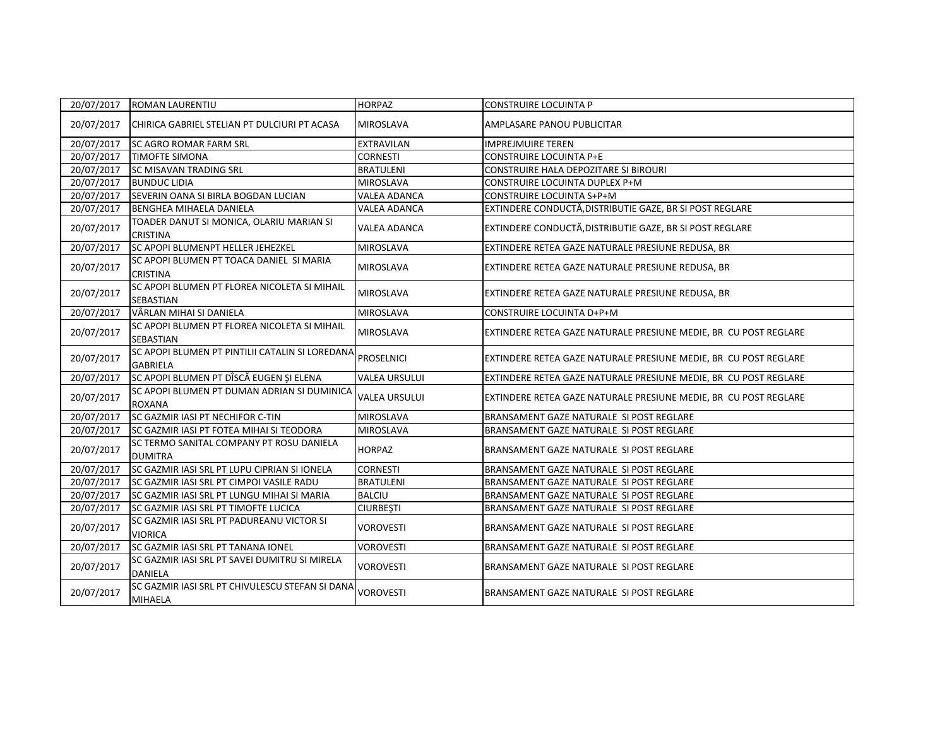| 20/07/2017 | <b>ROMAN LAURENTIU</b>                                             | <b>HORPAZ</b>        | <b>CONSTRUIRE LOCUINTA P</b>                                     |
|------------|--------------------------------------------------------------------|----------------------|------------------------------------------------------------------|
| 20/07/2017 | CHIRICA GABRIEL STELIAN PT DULCIURI PT ACASA                       | MIROSLAVA            | AMPLASARE PANOU PUBLICITAR                                       |
| 20/07/2017 | <b>SC AGRO ROMAR FARM SRL</b>                                      | <b>EXTRAVILAN</b>    | <b>IMPREJMUIRE TEREN</b>                                         |
| 20/07/2017 | <b>TIMOFTE SIMONA</b>                                              | <b>CORNESTI</b>      | <b>CONSTRUIRE LOCUINTA P+E</b>                                   |
| 20/07/2017 | <b>SC MISAVAN TRADING SRL</b>                                      | <b>BRATULENI</b>     | CONSTRUIRE HALA DEPOZITARE SI BIROURI                            |
| 20/07/2017 | <b>BUNDUC LIDIA</b>                                                | <b>MIROSLAVA</b>     | <b>CONSTRUIRE LOCUINTA DUPLEX P+M</b>                            |
| 20/07/2017 | SEVERIN OANA SI BIRLA BOGDAN LUCIAN                                | <b>VALEA ADANCA</b>  | <b>CONSTRUIRE LOCUINTA S+P+M</b>                                 |
| 20/07/2017 | <b>BENGHEA MIHAELA DANIELA</b>                                     | <b>VALEA ADANCA</b>  | EXTINDERE CONDUCTĂ, DISTRIBUTIE GAZE, BR SI POST REGLARE         |
| 20/07/2017 | TOADER DANUT SI MONICA, OLARIU MARIAN SI<br>CRISTINA               | <b>VALEA ADANCA</b>  | EXTINDERE CONDUCTĂ, DISTRIBUTIE GAZE, BR SI POST REGLARE         |
| 20/07/2017 | SC APOPI BLUMENPT HELLER JEHEZKEL                                  | <b>MIROSLAVA</b>     | EXTINDERE RETEA GAZE NATURALE PRESIUNE REDUSA, BR                |
| 20/07/2017 | SC APOPI BLUMEN PT TOACA DANIEL SI MARIA<br>CRISTINA               | MIROSLAVA            | EXTINDERE RETEA GAZE NATURALE PRESIUNE REDUSA, BR                |
| 20/07/2017 | SC APOPI BLUMEN PT FLOREA NICOLETA SI MIHAIL<br>SEBASTIAN          | <b>MIROSLAVA</b>     | EXTINDERE RETEA GAZE NATURALE PRESIUNE REDUSA, BR                |
| 20/07/2017 | VÂRLAN MIHAI SI DANIELA                                            | <b>MIROSLAVA</b>     | <b>CONSTRUIRE LOCUINTA D+P+M</b>                                 |
| 20/07/2017 | SC APOPI BLUMEN PT FLOREA NICOLETA SI MIHAIL<br>SEBASTIAN          | <b>MIROSLAVA</b>     | EXTINDERE RETEA GAZE NATURALE PRESIUNE MEDIE, BR CU POST REGLARE |
| 20/07/2017 | SC APOPI BLUMEN PT PINTILII CATALIN SI LOREDANA<br><b>GABRIELA</b> | <b>PROSELNICI</b>    | EXTINDERE RETEA GAZE NATURALE PRESIUNE MEDIE, BR CU POST REGLARE |
| 20/07/2017 | SC APOPI BLUMEN PT DÎSCĂ EUGEN ȘI ELENA                            | <b>VALEA URSULUI</b> | EXTINDERE RETEA GAZE NATURALE PRESIUNE MEDIE, BR CU POST REGLARE |
| 20/07/2017 | SC APOPI BLUMEN PT DUMAN ADRIAN SI DUMINICA<br><b>ROXANA</b>       | <b>VALEA URSULUI</b> | EXTINDERE RETEA GAZE NATURALE PRESIUNE MEDIE, BR CU POST REGLARE |
| 20/07/2017 | SC GAZMIR IASI PT NECHIFOR C-TIN                                   | <b>MIROSLAVA</b>     | BRANSAMENT GAZE NATURALE SI POST REGLARE                         |
| 20/07/2017 | SC GAZMIR IASI PT FOTEA MIHAI SI TEODORA                           | <b>MIROSLAVA</b>     | BRANSAMENT GAZE NATURALE SI POST REGLARE                         |
| 20/07/2017 | SC TERMO SANITAL COMPANY PT ROSU DANIELA<br><b>DUMITRA</b>         | <b>HORPAZ</b>        | BRANSAMENT GAZE NATURALE SI POST REGLARE                         |
| 20/07/2017 | SC GAZMIR IASI SRL PT LUPU CIPRIAN SI IONELA                       | <b>CORNESTI</b>      | BRANSAMENT GAZE NATURALE SI POST REGLARE                         |
| 20/07/2017 | SC GAZMIR IASI SRL PT CIMPOI VASILE RADU                           | <b>BRATULENI</b>     | BRANSAMENT GAZE NATURALE SI POST REGLARE                         |
| 20/07/2017 | SC GAZMIR IASI SRL PT LUNGU MIHAI SI MARIA                         | <b>BALCIU</b>        | BRANSAMENT GAZE NATURALE SI POST REGLARE                         |
| 20/07/2017 | SC GAZMIR IASI SRL PT TIMOFTE LUCICA                               | <b>CIURBEȘTI</b>     | BRANSAMENT GAZE NATURALE SI POST REGLARE                         |
| 20/07/2017 | SC GAZMIR IASI SRL PT PADUREANU VICTOR SI<br><b>VIORICA</b>        | <b>VOROVESTI</b>     | BRANSAMENT GAZE NATURALE SI POST REGLARE                         |
| 20/07/2017 | SC GAZMIR IASI SRL PT TANANA IONEL                                 | <b>VOROVESTI</b>     | BRANSAMENT GAZE NATURALE SI POST REGLARE                         |
| 20/07/2017 | SC GAZMIR IASI SRL PT SAVEI DUMITRU SI MIRELA<br><b>DANIELA</b>    | <b>VOROVESTI</b>     | BRANSAMENT GAZE NATURALE SI POST REGLARE                         |
| 20/07/2017 | SC GAZMIR IASI SRL PT CHIVULESCU STEFAN SI DANA<br>MIHAELA         | <b>VOROVESTI</b>     | BRANSAMENT GAZE NATURALE SI POST REGLARE                         |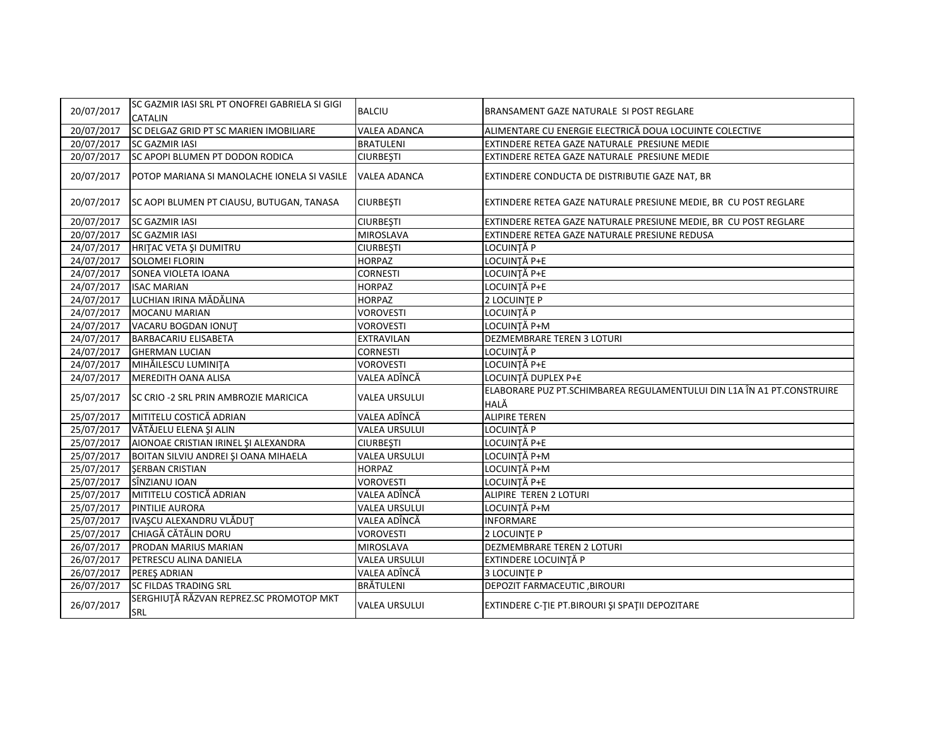| 20/07/2017 | SC GAZMIR IASI SRL PT ONOFREI GABRIELA SI GIGI<br><b>CATALIN</b> | <b>BALCIU</b>        | BRANSAMENT GAZE NATURALE SI POST REGLARE                                       |
|------------|------------------------------------------------------------------|----------------------|--------------------------------------------------------------------------------|
| 20/07/2017 | SC DELGAZ GRID PT SC MARIEN IMOBILIARE                           | <b>VALEA ADANCA</b>  | ALIMENTARE CU ENERGIE ELECTRICĂ DOUA LOCUINTE COLECTIVE                        |
| 20/07/2017 | <b>SC GAZMIR IASI</b>                                            | <b>BRATULENI</b>     | EXTINDERE RETEA GAZE NATURALE PRESIUNE MEDIE                                   |
| 20/07/2017 | SC APOPI BLUMEN PT DODON RODICA                                  | <b>CIURBESTI</b>     | EXTINDERE RETEA GAZE NATURALE PRESIUNE MEDIE                                   |
| 20/07/2017 | POTOP MARIANA SI MANOLACHE IONELA SI VASILE                      | VALEA ADANCA         | EXTINDERE CONDUCTA DE DISTRIBUTIE GAZE NAT, BR                                 |
| 20/07/2017 | SC AOPI BLUMEN PT CIAUSU, BUTUGAN, TANASA                        | <b>CIURBESTI</b>     | EXTINDERE RETEA GAZE NATURALE PRESIUNE MEDIE, BR CU POST REGLARE               |
| 20/07/2017 | <b>SC GAZMIR IASI</b>                                            | <b>CIURBEȘTI</b>     | EXTINDERE RETEA GAZE NATURALE PRESIUNE MEDIE, BR CU POST REGLARE               |
| 20/07/2017 | <b>SC GAZMIR IASI</b>                                            | <b>MIROSLAVA</b>     | EXTINDERE RETEA GAZE NATURALE PRESIUNE REDUSA                                  |
| 24/07/2017 | HRITAC VETA ȘI DUMITRU                                           | <b>CIURBESTI</b>     | LOCUINTĂ P                                                                     |
| 24/07/2017 | <b>SOLOMEI FLORIN</b>                                            | <b>HORPAZ</b>        | LOCUINȚĂ P+E                                                                   |
| 24/07/2017 | SONEA VIOLETA IOANA                                              | <b>CORNESTI</b>      | LOCUINȚĂ P+E                                                                   |
| 24/07/2017 | <b>ISAC MARIAN</b>                                               | <b>HORPAZ</b>        | LOCUINȚĂ P+E                                                                   |
| 24/07/2017 | LUCHIAN IRINA MĂDĂLINA                                           | <b>HORPAZ</b>        | 2 LOCUINTE P                                                                   |
| 24/07/2017 | MOCANU MARIAN                                                    | <b>VOROVESTI</b>     | LOCUINTĂ P                                                                     |
| 24/07/2017 | VACARU BOGDAN IONUT                                              | <b>VOROVESTI</b>     | LOCUINȚĂ P+M                                                                   |
| 24/07/2017 | <b>BARBACARIU ELISABETA</b>                                      | <b>EXTRAVILAN</b>    | <b>DEZMEMBRARE TEREN 3 LOTURI</b>                                              |
| 24/07/2017 | <b>GHERMAN LUCIAN</b>                                            | <b>CORNESTI</b>      | LOCUINȚĂ P                                                                     |
| 24/07/2017 | MIHĂILESCU LUMINIȚA                                              | <b>VOROVESTI</b>     | LOCUINȚĂ P+E                                                                   |
| 24/07/2017 | <b>MEREDITH OANA ALISA</b>                                       | VALEA ADÎNCĂ         | LOCUINTĂ DUPLEX P+E                                                            |
| 25/07/2017 | SC CRIO -2 SRL PRIN AMBROZIE MARICICA                            | <b>VALEA URSULUI</b> | ELABORARE PUZ PT.SCHIMBAREA REGULAMENTULUI DIN L1A ÎN A1 PT.CONSTRUIRE<br>HALĂ |
| 25/07/2017 | MITITELU COSTICĂ ADRIAN                                          | VALEA ADÎNCĂ         | <b>ALIPIRE TEREN</b>                                                           |
| 25/07/2017 | VĂTĂJELU ELENA ȘI ALIN                                           | <b>VALEA URSULUI</b> | LOCUINȚĂ P                                                                     |
| 25/07/2017 | AIONOAE CRISTIAN IRINEL ȘI ALEXANDRA                             | <b>CIURBESTI</b>     | LOCUINȚĂ P+E                                                                   |
| 25/07/2017 | BOITAN SILVIU ANDREI ȘI OANA MIHAELA                             | <b>VALEA URSULUI</b> | LOCUINȚĂ P+M                                                                   |
| 25/07/2017 | <b>SERBAN CRISTIAN</b>                                           | <b>HORPAZ</b>        | LOCUINȚĂ P+M                                                                   |
| 25/07/2017 | SÎNZIANU IOAN                                                    | <b>VOROVESTI</b>     | LOCUINȚĂ P+E                                                                   |
| 25/07/2017 | MITITELU COSTICĂ ADRIAN                                          | VALEA ADÎNCĂ         | ALIPIRE TEREN 2 LOTURI                                                         |
| 25/07/2017 | <b>PINTILIE AURORA</b>                                           | <b>VALEA URSULUI</b> | LOCUINȚĂ P+M                                                                   |
| 25/07/2017 | IVAȘCU ALEXANDRU VLĂDUȚ                                          | VALEA ADÎNCĂ         | <b>INFORMARE</b>                                                               |
| 25/07/2017 | CHIAGĂ CĂTĂLIN DORU                                              | <b>VOROVESTI</b>     | 2 LOCUINTE P                                                                   |
| 26/07/2017 | PRODAN MARIUS MARIAN                                             | <b>MIROSLAVA</b>     | DEZMEMBRARE TEREN 2 LOTURI                                                     |
| 26/07/2017 | PETRESCU ALINA DANIELA                                           | <b>VALEA URSULUI</b> | EXTINDERE LOCUINTĂ P                                                           |
| 26/07/2017 | PEREŞ ADRIAN                                                     | VALEA ADÎNCĂ         | <b>3 LOCUINTE P</b>                                                            |
| 26/07/2017 | <b>SC FILDAS TRADING SRL</b>                                     | BRĂTULENI            | <b>DEPOZIT FARMACEUTIC, BIROURI</b>                                            |
| 26/07/2017 | SERGHIUȚĂ RĂZVAN REPREZ.SC PROMOTOP MKT<br>SRL                   | <b>VALEA URSULUI</b> | EXTINDERE C-TIE PT.BIROURI ȘI SPAȚII DEPOZITARE                                |